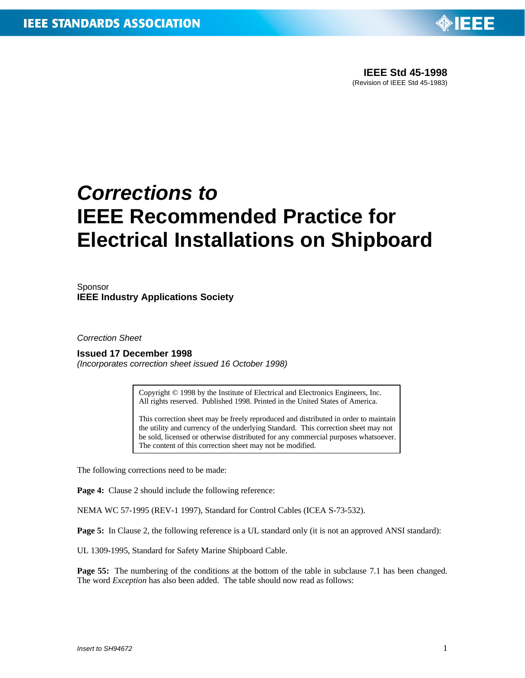

## *Corrections to* **IEEE Recommended Practice for Electrical Installations on Shipboard**

**Sponsor IEEE Industry Applications Society**

*Correction Sheet*

**Issued 17 December 1998**

*(Incorporates correction sheet issued 16 October 1998)*

Copyright © 1998 by the Institute of Electrical and Electronics Engineers, Inc. All rights reserved. Published 1998. Printed in the United States of America.

This correction sheet may be freely reproduced and distributed in order to maintain the utility and currency of the underlying Standard. This correction sheet may not be sold, licensed or otherwise distributed for any commercial purposes whatsoever. The content of this correction sheet may not be modified.

The following corrections need to be made:

**Page 4:** Clause 2 should include the following reference:

NEMA WC 57-1995 (REV-1 1997), Standard for Control Cables (ICEA S-73-532).

Page 5: In Clause 2, the following reference is a UL standard only (it is not an approved ANSI standard):

UL 1309-1995, Standard for Safety Marine Shipboard Cable.

**Page 55:** The numbering of the conditions at the bottom of the table in subclause 7.1 has been changed. The word *Exception* has also been added. The table should now read as follows: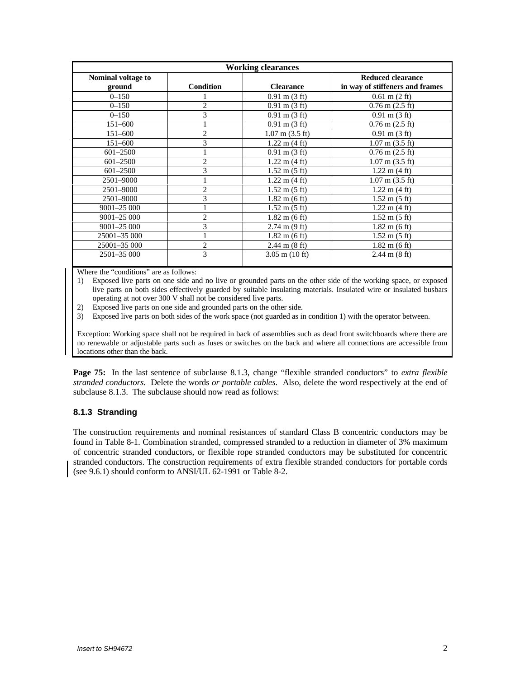| <b>Working clearances</b>    |                  |                                 |                                                             |  |  |  |  |
|------------------------------|------------------|---------------------------------|-------------------------------------------------------------|--|--|--|--|
| Nominal voltage to<br>ground | <b>Condition</b> | <b>Clearance</b>                | <b>Reduced clearance</b><br>in way of stiffeners and frames |  |  |  |  |
| $0 - 150$                    |                  | $0.91 \text{ m} (3 \text{ ft})$ | $0.61 \text{ m} (2 \text{ ft})$                             |  |  |  |  |
| $0 - 150$                    | $\overline{c}$   | $0.91 \text{ m} (3 \text{ ft})$ | $0.76$ m $(2.5$ ft)                                         |  |  |  |  |
| $0 - 150$                    | 3                | $0.91 \text{ m} (3 \text{ ft})$ | $0.91 \text{ m} (3 \text{ ft})$                             |  |  |  |  |
| $151 - 600$                  |                  | $0.91 \text{ m} (3 \text{ ft})$ | $0.76$ m $(2.5$ ft)                                         |  |  |  |  |
| $151 - 600$                  | $\overline{c}$   | $1.07$ m $(3.5 \text{ ft})$     | $0.91 \text{ m} (3 \text{ ft})$                             |  |  |  |  |
| $151 - 600$                  | 3                | $1.22 \text{ m} (4 \text{ ft})$ | $1.07$ m $(3.5)$ ft)                                        |  |  |  |  |
| $601 - 2500$                 |                  | $0.91 \text{ m} (3 \text{ ft})$ | $0.76$ m $(2.5$ ft)                                         |  |  |  |  |
| $601 - 2500$                 | $\overline{c}$   | $1.22 \text{ m} (4 \text{ ft})$ | $1.07$ m $(3.5 \text{ ft})$                                 |  |  |  |  |
| $601 - 2500$                 | 3                | $1.52 \text{ m} (5 \text{ ft})$ | $1.22 \text{ m} (4 \text{ ft})$                             |  |  |  |  |
| 2501-9000                    |                  | $1.22 \text{ m} (4 \text{ ft})$ | $1.07$ m $(3.5)$ ft)                                        |  |  |  |  |
| 2501-9000                    | $\overline{c}$   | $1.52 \text{ m} (5 \text{ ft})$ | $1.22 \text{ m} (4 \text{ ft})$                             |  |  |  |  |
| 2501-9000                    | 3                | $1.82 \text{ m}$ (6 ft)         | $1.52 \text{ m} (5 \text{ ft})$                             |  |  |  |  |
| 9001-25 000                  |                  | $1.52 \text{ m} (5 \text{ ft})$ | $1.22 \text{ m} (4 \text{ ft})$                             |  |  |  |  |
| $9001 - 25000$               | $\overline{c}$   | $1.82 \text{ m}$ (6 ft)         | $1.52 \text{ m} (5 \text{ ft})$                             |  |  |  |  |
| $9001 - 25000$               | 3                | $2.74 \text{ m} (9 \text{ ft})$ | $1.82 \text{ m}$ (6 ft)                                     |  |  |  |  |
| 25001-35 000                 |                  | $1.82 \text{ m}$ (6 ft)         | $1.52 \text{ m} (5 \text{ ft})$                             |  |  |  |  |
| 25001-35 000                 | $\overline{c}$   | $2.44 \text{ m} (8 \text{ ft})$ | $1.82 \text{ m}$ (6 ft)                                     |  |  |  |  |
| 2501-35 000                  | 3                | $3.05$ m $(10$ ft)              | $2.44 \text{ m} (8 \text{ ft})$                             |  |  |  |  |

Where the "conditions" are as follows:

1) Exposed live parts on one side and no live or grounded parts on the other side of the working space, or exposed live parts on both sides effectively guarded by suitable insulating materials. Insulated wire or insulated busbars operating at not over 300 V shall not be considered live parts.

2) Exposed live parts on one side and grounded parts on the other side.

3) Exposed live parts on both sides of the work space (not guarded as in condition 1) with the operator between.

Exception: Working space shall not be required in back of assemblies such as dead front switchboards where there are no renewable or adjustable parts such as fuses or switches on the back and where all connections are accessible from locations other than the back.

**Page 75:** In the last sentence of subclause 8.1.3, change "flexible stranded conductors" to *extra flexible stranded conductors.* Delete the words *or portable cables*. Also, delete the word respectively at the end of subclause 8.1.3. The subclause should now read as follows:

## **8.1.3 Stranding**

The construction requirements and nominal resistances of standard Class B concentric conductors may be found in Table 8-1. Combination stranded, compressed stranded to a reduction in diameter of 3% maximum of concentric stranded conductors, or flexible rope stranded conductors may be substituted for concentric stranded conductors. The construction requirements of extra flexible stranded conductors for portable cords (see 9.6.1) should conform to ANSI/UL 62-1991 or Table 8-2.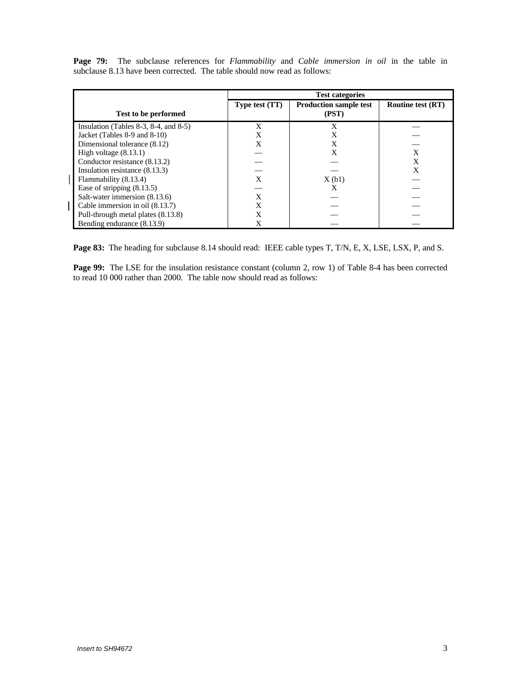|                                                | <b>Test categories</b> |                                        |                          |
|------------------------------------------------|------------------------|----------------------------------------|--------------------------|
| <b>Test to be performed</b>                    | Type test (TT)         | <b>Production sample test</b><br>(PST) | <b>Routine test (RT)</b> |
| Insulation (Tables $8-3$ , $8-4$ , and $8-5$ ) | X                      | X                                      |                          |
| Jacket (Tables 8-9 and 8-10)                   | X                      | X                                      |                          |
| Dimensional tolerance (8.12)                   | X                      | X                                      |                          |
| High voltage $(8.13.1)$                        |                        | X                                      | X                        |
| Conductor resistance (8.13.2)                  |                        |                                        | X                        |
| Insulation resistance (8.13.3)                 |                        |                                        | X                        |
| Flammability (8.13.4)                          | X                      | X(b1)                                  |                          |
| Ease of stripping $(8.13.5)$                   |                        | X                                      |                          |
| Salt-water immersion (8.13.6)                  |                        |                                        |                          |
| Cable immersion in oil (8.13.7)                | X                      |                                        |                          |
| Pull-through metal plates (8.13.8)             | X                      |                                        |                          |
| Bending endurance (8.13.9)                     |                        |                                        |                          |

**Page 79:** The subclause references for *Flammability* and *Cable immersion in oil* in the table in subclause 8.13 have been corrected. The table should now read as follows:

**Page 83:** The heading for subclause 8.14 should read: IEEE cable types T, T/N, E, X, LSE, LSX, P, and S.

Page 99: The LSE for the insulation resistance constant (column 2, row 1) of Table 8-4 has been corrected to read 10 000 rather than 2000. The table now should read as follows: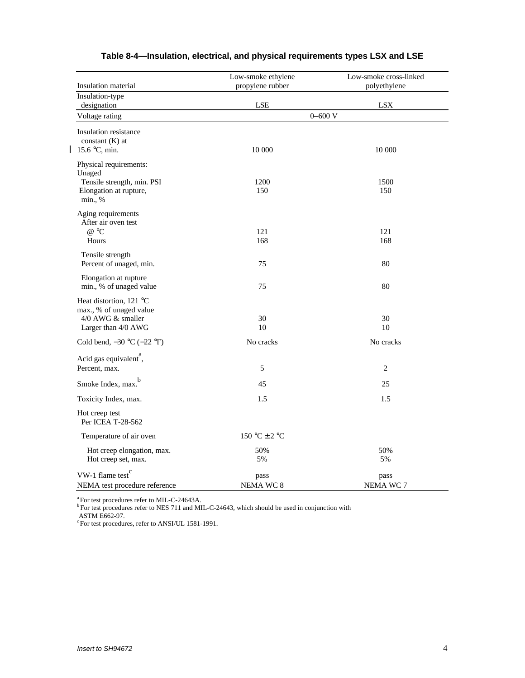| Insulation material                                                                                 | Low-smoke ethylene<br>propylene rubber | Low-smoke cross-linked<br>polyethylene |  |
|-----------------------------------------------------------------------------------------------------|----------------------------------------|----------------------------------------|--|
| Insulation-type<br>designation                                                                      | LSE                                    | <b>LSX</b>                             |  |
| Voltage rating                                                                                      | $0 - 600$ V                            |                                        |  |
| Insulation resistance<br>constant $(K)$ at<br>  15.6 $\degree$ C, min.                              | 10 000                                 | 10 000                                 |  |
| Physical requirements:<br>Unaged<br>Tensile strength, min. PSI<br>Elongation at rupture,<br>min., % | 1200<br>150                            | 1500<br>150                            |  |
| Aging requirements<br>After air oven test<br>$@$ °C<br>Hours                                        | 121<br>168                             | 121<br>168                             |  |
| Tensile strength<br>Percent of unaged, min.                                                         | 75                                     | 80                                     |  |
| Elongation at rupture<br>min., % of unaged value                                                    | 75                                     | 80                                     |  |
| Heat distortion, 121 °C<br>max., % of unaged value<br>4/0 AWG & smaller<br>Larger than 4/0 AWG      | 30<br>10                               | 30<br>10                               |  |
| Cold bend, $-30$ °C $(-22$ °F)                                                                      | No cracks                              | No cracks                              |  |
| Acid gas equivalent <sup>a</sup> ,<br>Percent, max.                                                 | 5                                      | $\overline{c}$                         |  |
| Smoke Index, max. <sup>b</sup>                                                                      | 45                                     | 25                                     |  |
| Toxicity Index, max.                                                                                | 1.5                                    | 1.5                                    |  |
| Hot creep test<br>Per ICEA T-28-562                                                                 |                                        |                                        |  |
| Temperature of air oven                                                                             | $150 °C \pm 2 °C$                      |                                        |  |
| Hot creep elongation, max.<br>Hot creep set, max.                                                   | 50%<br>5%                              | 50%<br>5%                              |  |
| VW-1 flame test $c$<br>NEMA test procedure reference                                                | pass<br>NEMA WC 8                      | pass<br>NEMA WC 7                      |  |

## **Table 8-4—Insulation, electrical, and physical requirements types LSX and LSE**

a<br>For test procedures refer to MIL-C-24643A.<br>PFor test procedures refer to NES 711 and MIL-C-24643, which should be used in conjunction with

ASTM E662-97. c For test procedures, refer to ANSI/UL 1581-1991.